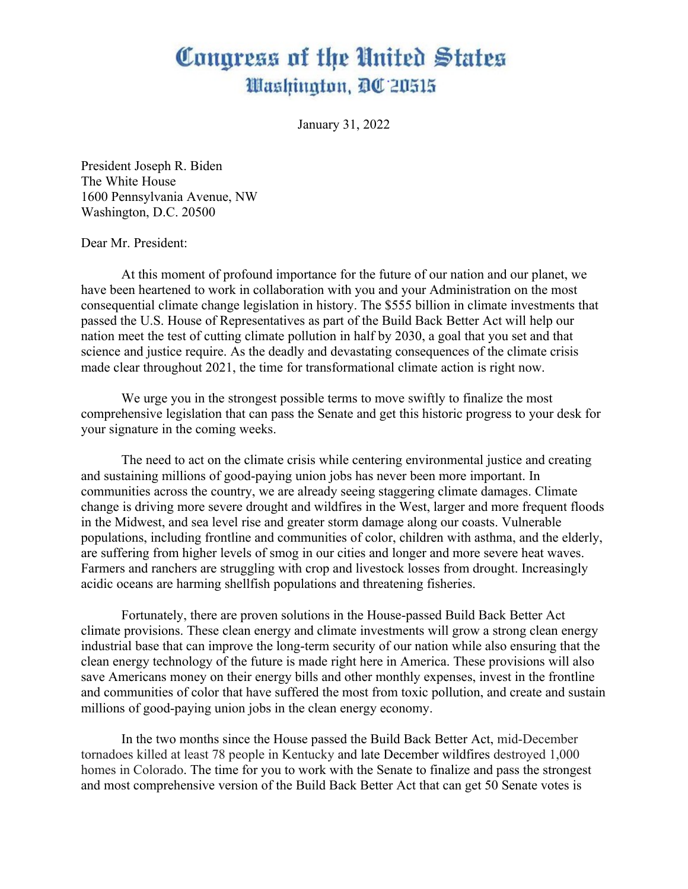## Congress of the United States Washington, DC 20515

January 31, 2022

President Joseph R. Biden The White House 1600 Pennsylvania Avenue, NW Washington, D.C. 20500

## Dear Mr. President:

At this moment of profound importance for the future of our nation and our planet, we have been heartened to work in collaboration with you and your Administration on the most consequential climate change legislation in history. The \$555 billion in climate investments that passed the U.S. House of Representatives as part of the Build Back Better Act will help our nation meet the test of cutting climate pollution in half by 2030, a goal that you set and that science and justice require. As the deadly and devastating consequences of the climate crisis made clear throughout 2021, the time for transformational climate action is right now.

We urge you in the strongest possible terms to move swiftly to finalize the most comprehensive legislation that can pass the Senate and get this historic progress to your desk for your signature in the coming weeks.

The need to act on the climate crisis while centering environmental justice and creating and sustaining millions of good-paying union jobs has never been more important. In communities across the country, we are already seeing staggering climate damages. Climate change is driving more severe drought and wildfires in the West, larger and more frequent floods in the Midwest, and sea level rise and greater storm damage along our coasts. Vulnerable populations, including frontline and communities of color, children with asthma, and the elderly, are suffering from higher levels of smog in our cities and longer and more severe heat waves. Farmers and ranchers are struggling with crop and livestock losses from drought. Increasingly acidic oceans are harming shellfish populations and threatening fisheries.

Fortunately, there are proven solutions in the House-passed Build Back Better Act climate provisions. These clean energy and climate investments will grow a strong clean energy industrial base that can improve the long-term security of our nation while also ensuring that the clean energy technology of the future is made right here in America. These provisions will also save Americans money on their energy bills and other monthly expenses, invest in the frontline and communities of color that have suffered the most from toxic pollution, and create and sustain millions of good-paying union jobs in the clean energy economy.

In the two months since the House passed the Build Back Better Act, mid-December tornadoes killed at least 78 people in Kentucky and late December wildfires destroyed 1,000 homes in Colorado. The time for you to work with the Senate to finalize and pass the strongest and most comprehensive version of the Build Back Better Act that can get 50 Senate votes is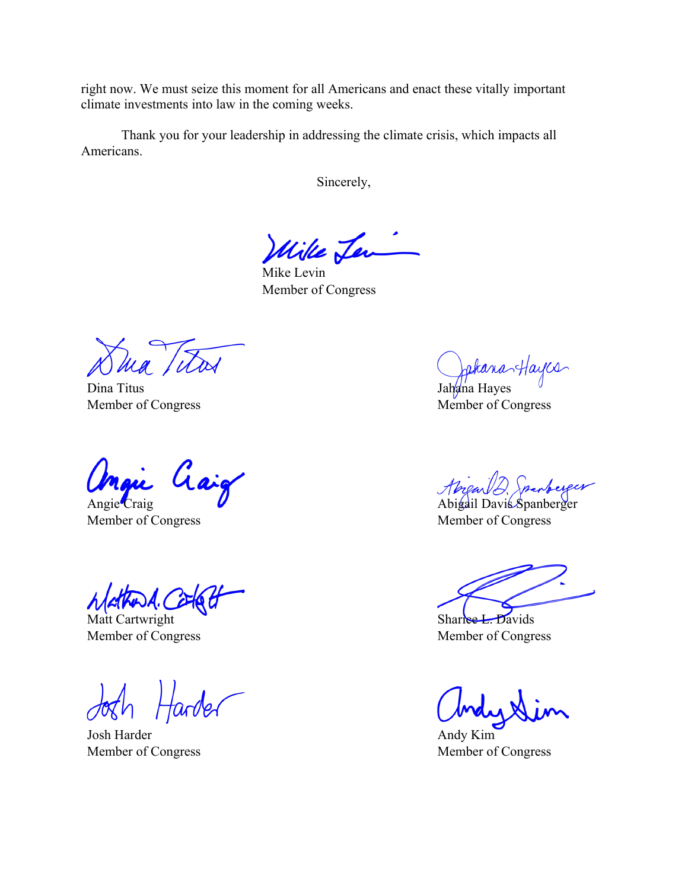right now. We must seize this moment for all Americans and enact these vitally important climate investments into law in the coming weeks.

Thank you for your leadership in addressing the climate crisis, which impacts all Americans.

Sincerely,

Wille Len

Mike Levin Member of Congress

Dina Titus Member of Congress

aaig

Angie Craig Member of Congress

Matt Cartwright Member of Congress

tarder

Josh Harder Member of Congress

Jakana Hayes

Member of Congress

Abreau D. Spanberger

Abigail Davis Spanberger Member of Congress

 $Shar$ ree L. Davids Member of Congress

Andy Kim Member of Congress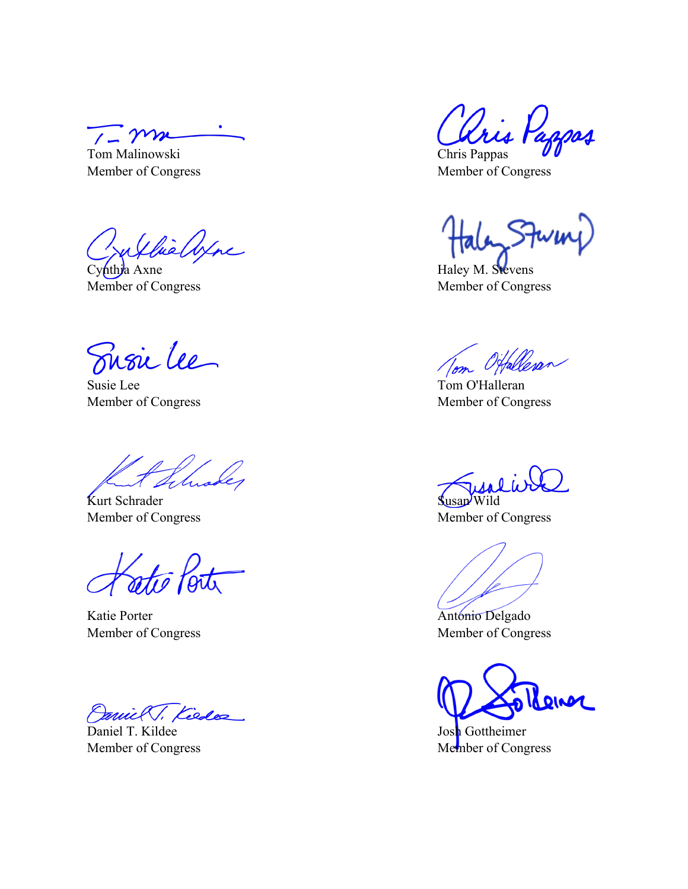$1 - \gamma m$ 

Tom Malinowski Member of Congress

willielyne

Cynthia Axne Member of Congress

Fusic lee

Susie Lee Member of Congress

Kurt Schrader Member of Congress

Katie Porter Member of Congress

mick, Kieder

Daniel T. Kildee Member of Congress

Chris Pappas

Member of Congress

Haley M. Stevens Member of Congress

Tom O'Halleran

Member of Congress

 $\mathbf{\Omega}$ usan  $\mathbf{\Omega}$ Member of Congress

Antonio Delgado Member of Congress

Reiner

Josh Gottheimer Member of Congress